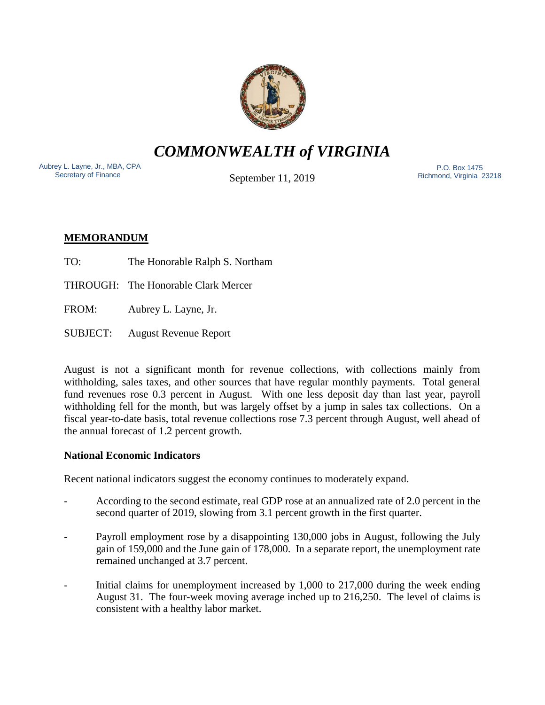

*COMMONWEALTH of VIRGINIA*

Aubrey L. Layne, Jr., MBA, CPA Secretary of Finance

September 11, 2019

 P.O. Box 1475 Richmond, Virginia 23218

# **MEMORANDUM**

- TO: The Honorable Ralph S. Northam
- THROUGH: The Honorable Clark Mercer
- FROM: Aubrey L. Layne, Jr.
- SUBJECT: August Revenue Report

August is not a significant month for revenue collections, with collections mainly from withholding, sales taxes, and other sources that have regular monthly payments. Total general fund revenues rose 0.3 percent in August. With one less deposit day than last year, payroll withholding fell for the month, but was largely offset by a jump in sales tax collections. On a fiscal year-to-date basis, total revenue collections rose 7.3 percent through August, well ahead of the annual forecast of 1.2 percent growth.

# **National Economic Indicators**

Recent national indicators suggest the economy continues to moderately expand.

- According to the second estimate, real GDP rose at an annualized rate of 2.0 percent in the second quarter of 2019, slowing from 3.1 percent growth in the first quarter.
- Payroll employment rose by a disappointing 130,000 jobs in August, following the July gain of 159,000 and the June gain of 178,000. In a separate report, the unemployment rate remained unchanged at 3.7 percent.
- Initial claims for unemployment increased by  $1,000$  to  $217,000$  during the week ending August 31. The four-week moving average inched up to 216,250. The level of claims is consistent with a healthy labor market.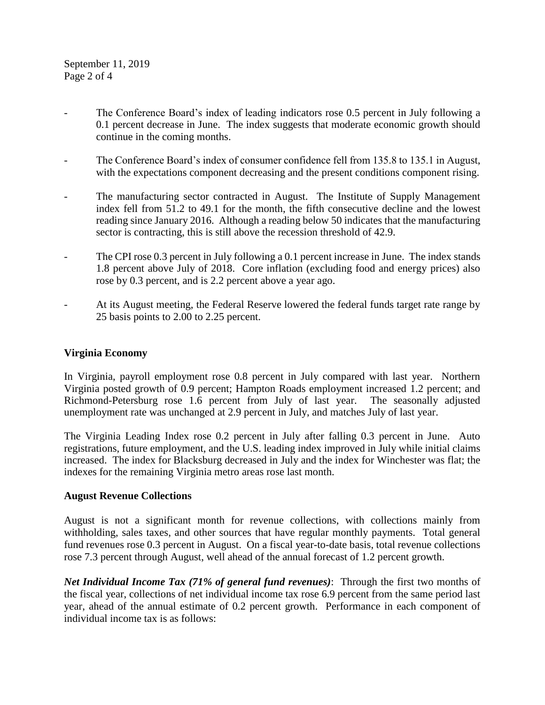- The Conference Board's index of leading indicators rose 0.5 percent in July following a 0.1 percent decrease in June. The index suggests that moderate economic growth should continue in the coming months.
- The Conference Board's index of consumer confidence fell from 135.8 to 135.1 in August, with the expectations component decreasing and the present conditions component rising.
- The manufacturing sector contracted in August. The Institute of Supply Management index fell from 51.2 to 49.1 for the month, the fifth consecutive decline and the lowest reading since January 2016. Although a reading below 50 indicates that the manufacturing sector is contracting, this is still above the recession threshold of 42.9.
- The CPI rose 0.3 percent in July following a 0.1 percent increase in June. The index stands 1.8 percent above July of 2018. Core inflation (excluding food and energy prices) also rose by 0.3 percent, and is 2.2 percent above a year ago.
- At its August meeting, the Federal Reserve lowered the federal funds target rate range by 25 basis points to 2.00 to 2.25 percent.

## **Virginia Economy**

In Virginia, payroll employment rose 0.8 percent in July compared with last year. Northern Virginia posted growth of 0.9 percent; Hampton Roads employment increased 1.2 percent; and Richmond-Petersburg rose 1.6 percent from July of last year. The seasonally adjusted unemployment rate was unchanged at 2.9 percent in July, and matches July of last year.

The Virginia Leading Index rose 0.2 percent in July after falling 0.3 percent in June. Auto registrations, future employment, and the U.S. leading index improved in July while initial claims increased. The index for Blacksburg decreased in July and the index for Winchester was flat; the indexes for the remaining Virginia metro areas rose last month.

#### **August Revenue Collections**

August is not a significant month for revenue collections, with collections mainly from withholding, sales taxes, and other sources that have regular monthly payments. Total general fund revenues rose 0.3 percent in August. On a fiscal year-to-date basis, total revenue collections rose 7.3 percent through August, well ahead of the annual forecast of 1.2 percent growth.

*Net Individual Income Tax (71% of general fund revenues)*: Through the first two months of the fiscal year, collections of net individual income tax rose 6.9 percent from the same period last year, ahead of the annual estimate of 0.2 percent growth. Performance in each component of individual income tax is as follows: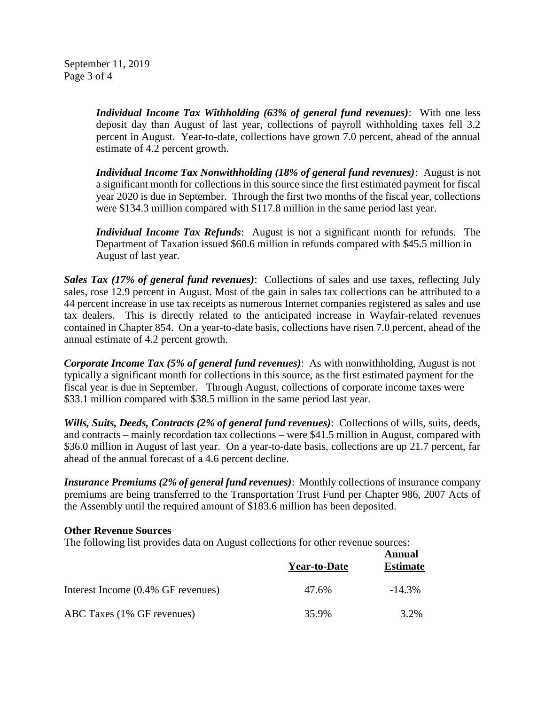September 11, 2019 Page 3 of 4

> *Individual Income Tax Withholding (63% of general fund revenues)*: With one less deposit day than August of last year, collections of payroll withholding taxes fell 3.2 percent in August. Year-to-date, collections have grown 7.0 percent, ahead of the annual estimate of 4.2 percent growth.

> *Individual Income Tax Nonwithholding (18% of general fund revenues)*: August is not a significant month for collections in this source since the first estimated payment for fiscal year 2020 is due in September. Through the first two months of the fiscal year, collections were \$134.3 million compared with \$117.8 million in the same period last year.

> *Individual Income Tax Refunds*: August is not a significant month for refunds. The Department of Taxation issued \$60.6 million in refunds compared with \$45.5 million in August of last year.

*Sales Tax (17% of general fund revenues)*: Collections of sales and use taxes, reflecting July sales, rose 12.9 percent in August. Most of the gain in sales tax collections can be attributed to a 44 percent increase in use tax receipts as numerous Internet companies registered as sales and use tax dealers. This is directly related to the anticipated increase in Wayfair-related revenues contained in Chapter 854. On a year-to-date basis, collections have risen 7.0 percent, ahead of the annual estimate of 4.2 percent growth.

*Corporate Income Tax (5% of general fund revenues)*: As with nonwithholding, August is not typically a significant month for collections in this source, as the first estimated payment for the fiscal year is due in September. Through August, collections of corporate income taxes were \$33.1 million compared with \$38.5 million in the same period last year.

*Wills, Suits, Deeds, Contracts (2% of general fund revenues)*: Collections of wills, suits, deeds, and contracts – mainly recordation tax collections – were \$41.5 million in August, compared with \$36.0 million in August of last year. On a year-to-date basis, collections are up 21.7 percent, far ahead of the annual forecast of a 4.6 percent decline.

*Insurance Premiums (2% of general fund revenues)*: Monthly collections of insurance company premiums are being transferred to the Transportation Trust Fund per Chapter 986, 2007 Acts of the Assembly until the required amount of \$183.6 million has been deposited.

#### **Other Revenue Sources**

The following list provides data on August collections for other revenue sources:

|                                    | <b>Year-to-Date</b> | Annual<br><b>Estimate</b> |
|------------------------------------|---------------------|---------------------------|
| Interest Income (0.4% GF revenues) | 47.6%               | $-14.3\%$                 |
| ABC Taxes (1% GF revenues)         | 35.9%               | 3.2%                      |